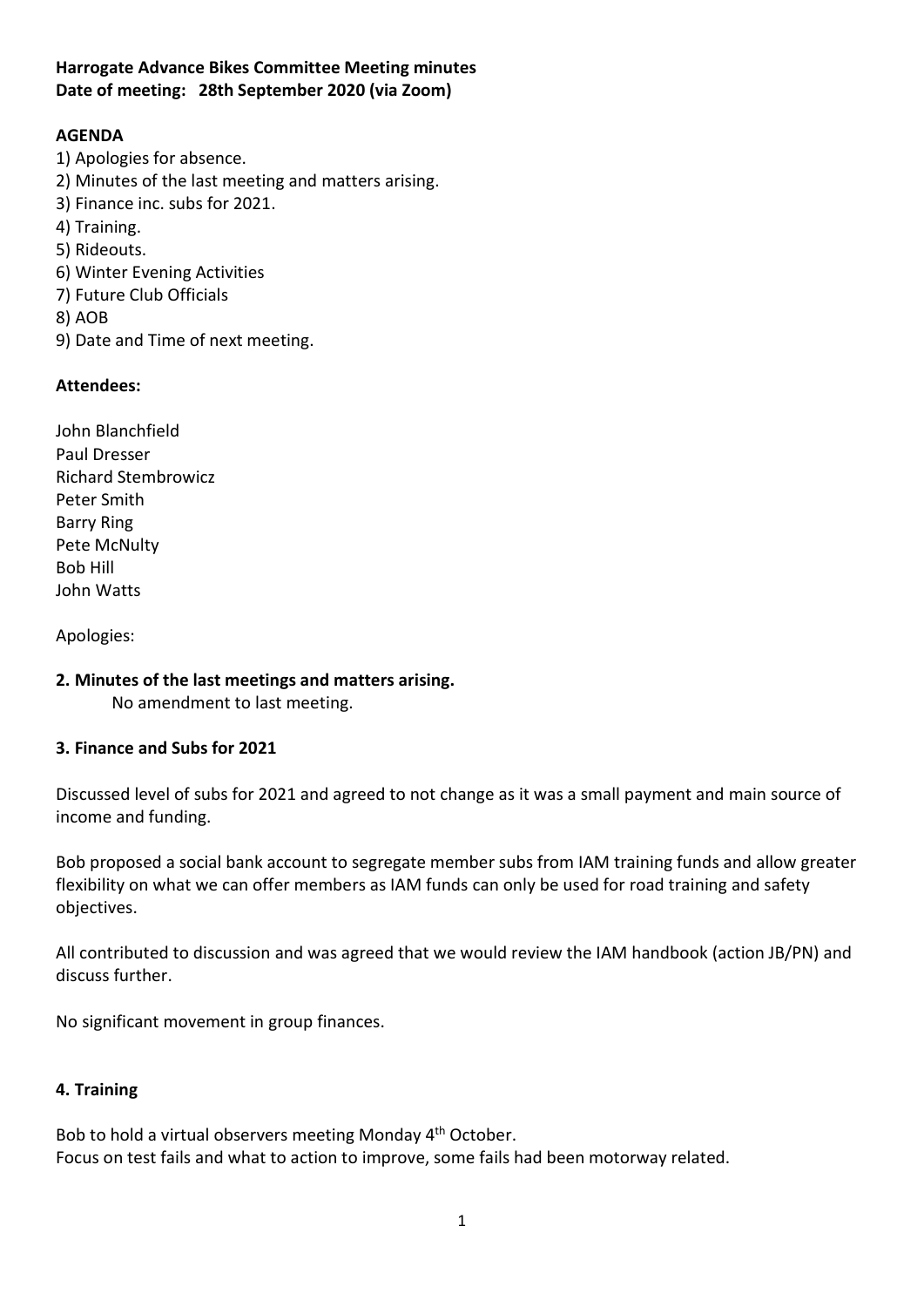### Harrogate Advance Bikes Committee Meeting minutes Date of meeting: 28th September 2020 (via Zoom)

# AGENDA

- 1) Apologies for absence.
- 2) Minutes of the last meeting and matters arising.
- 3) Finance inc. subs for 2021.
- 4) Training.
- 5) Rideouts.
- 6) Winter Evening Activities
- 7) Future Club Officials
- 8) AOB
- 9) Date and Time of next meeting.

### Attendees:

John Blanchfield Paul Dresser Richard Stembrowicz Peter Smith Barry Ring Pete McNulty Bob Hill John Watts

Apologies:

### 2. Minutes of the last meetings and matters arising.

No amendment to last meeting.

### 3. Finance and Subs for 2021

Discussed level of subs for 2021 and agreed to not change as it was a small payment and main source of income and funding.

Bob proposed a social bank account to segregate member subs from IAM training funds and allow greater flexibility on what we can offer members as IAM funds can only be used for road training and safety objectives.

All contributed to discussion and was agreed that we would review the IAM handbook (action JB/PN) and discuss further.

No significant movement in group finances.

### 4. Training

Bob to hold a virtual observers meeting Monday 4th October. Focus on test fails and what to action to improve, some fails had been motorway related.